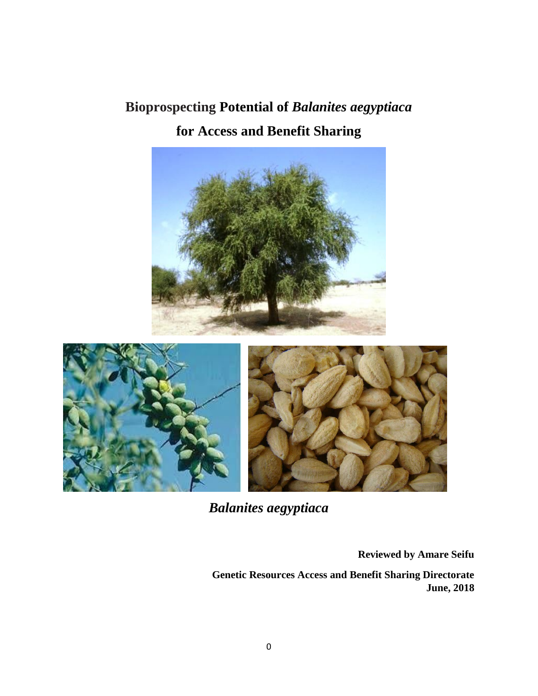# **Bioprospecting Potential of** *Balanites aegyptiaca*  **for Access and Benefit Sharing**





*Balanites aegyptiaca*

**Reviewed by Amare Seifu** 

**Genetic Resources Access and Benefit Sharing Directorate June, 2018**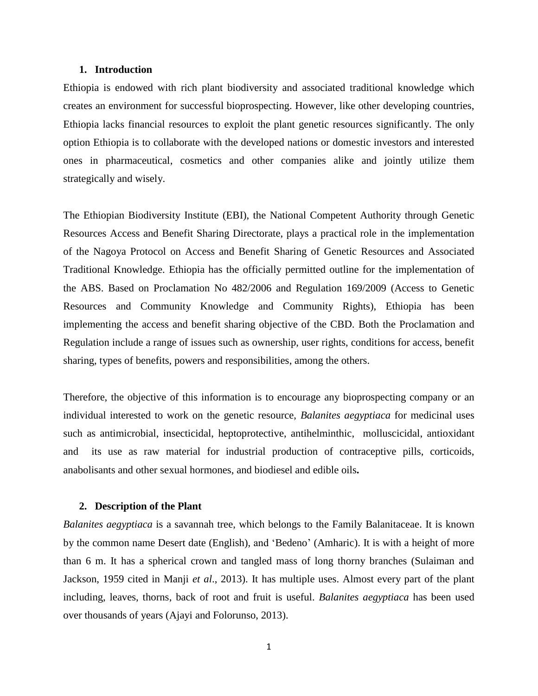## **1. Introduction**

Ethiopia is endowed with rich plant biodiversity and associated traditional knowledge which creates an environment for successful bioprospecting. However, like other developing countries, Ethiopia lacks financial resources to exploit the plant genetic resources significantly. The only option Ethiopia is to collaborate with the developed nations or domestic investors and interested ones in pharmaceutical, cosmetics and other companies alike and jointly utilize them strategically and wisely.

The Ethiopian Biodiversity Institute (EBI), the National Competent Authority through Genetic Resources Access and Benefit Sharing Directorate, plays a practical role in the implementation of the Nagoya Protocol on Access and Benefit Sharing of Genetic Resources and Associated Traditional Knowledge. Ethiopia has the officially permitted outline for the implementation of the ABS. Based on Proclamation No 482/2006 and Regulation 169/2009 (Access to Genetic Resources and Community Knowledge and Community Rights), Ethiopia has been implementing the access and benefit sharing objective of the CBD. Both the Proclamation and Regulation include a range of issues such as ownership, user rights, conditions for access, benefit sharing, types of benefits, powers and responsibilities, among the others.

Therefore, the objective of this information is to encourage any bioprospecting company or an individual interested to work on the genetic resource, *Balanites aegyptiaca* for medicinal uses such as antimicrobial, insecticidal, heptoprotective, antihelminthic, molluscicidal, antioxidant and its use as raw material for industrial production of contraceptive pills, corticoids, anabolisants and other sexual hormones, and biodiesel and edible oils**.**

#### **2. Description of the Plant**

*Balanites aegyptiaca* is a savannah tree, which belongs to the Family Balanitaceae. It is known by the common name Desert date (English), and 'Bedeno' (Amharic). It is with a height of more than 6 m. It has a spherical crown and tangled mass of long thorny branches (Sulaiman and Jackson, 1959 cited in Manji *et al*., 2013). It has multiple uses. Almost every part of the plant including, leaves, thorns, back of root and fruit is useful. *Balanites aegyptiaca* has been used over thousands of years (Ajayi and Folorunso, 2013).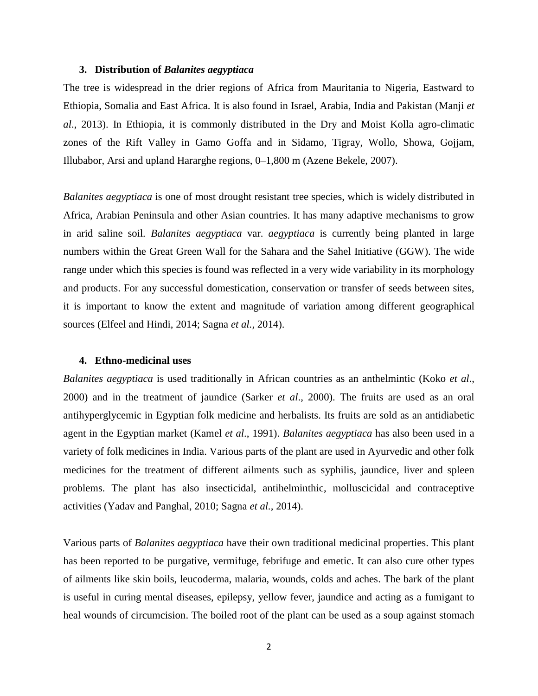#### **3. Distribution of** *Balanites aegyptiaca*

The tree is widespread in the drier regions of Africa from Mauritania to Nigeria, Eastward to Ethiopia, Somalia and East Africa. It is also found in Israel, Arabia, India and Pakistan (Manji *et al*., 2013). In Ethiopia, it is commonly distributed in the Dry and Moist Kolla agro-climatic zones of the Rift Valley in Gamo Goffa and in Sidamo, Tigray, Wollo, Showa, Gojjam, Illubabor, Arsi and upland Hararghe regions, 0–1,800 m (Azene Bekele, 2007).

*Balanites aegyptiaca* is one of most drought resistant tree species, which is widely distributed in Africa, Arabian Peninsula and other Asian countries. It has many adaptive mechanisms to grow in arid saline soil*. Balanites aegyptiaca* var. *aegyptiaca* is currently being planted in large numbers within the Great Green Wall for the Sahara and the Sahel Initiative (GGW). The wide range under which this species is found was reflected in a very wide variability in its morphology and products. For any successful domestication, conservation or transfer of seeds between sites, it is important to know the extent and magnitude of variation among different geographical sources (Elfeel and Hindi, 2014; Sagna *et al.,* 2014).

### **4. Ethno-medicinal uses**

*Balanites aegyptiaca* is used traditionally in African countries as an anthelmintic (Koko *et al*., 2000) and in the treatment of jaundice (Sarker *et al*., 2000). The fruits are used as an oral antihyperglycemic in Egyptian folk medicine and herbalists. Its fruits are sold as an antidiabetic agent in the Egyptian market (Kamel *et al*., 1991). *Balanites aegyptiaca* has also been used in a variety of folk medicines in India. Various parts of the plant are used in Ayurvedic and other folk medicines for the treatment of different ailments such as syphilis, jaundice, liver and spleen problems. The plant has also insecticidal, antihelminthic, molluscicidal and contraceptive activities (Yadav and Panghal, 2010; Sagna *et al.,* 2014).

Various parts of *Balanites aegyptiaca* have their own traditional medicinal properties. This plant has been reported to be purgative, vermifuge, febrifuge and emetic. It can also cure other types of ailments like skin boils, leucoderma, malaria, wounds, colds and aches. The bark of the plant is useful in curing mental diseases, epilepsy, yellow fever, jaundice and acting as a fumigant to heal wounds of circumcision. The boiled root of the plant can be used as a soup against stomach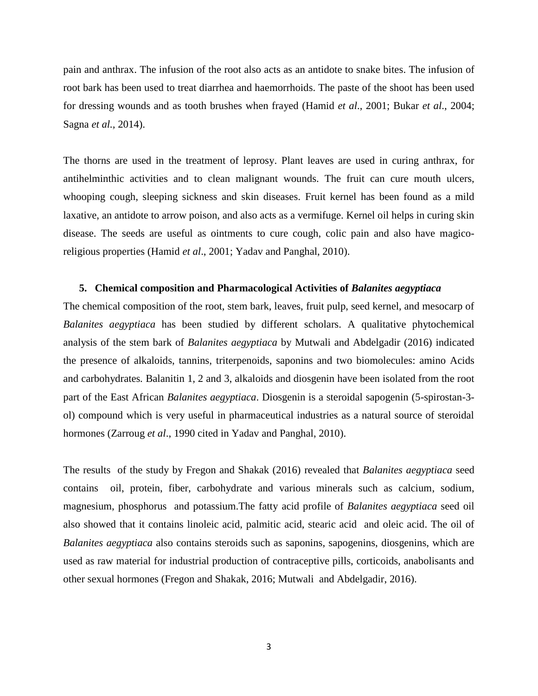pain and anthrax. The infusion of the root also acts as an antidote to snake bites. The infusion of root bark has been used to treat diarrhea and haemorrhoids. The paste of the shoot has been used for dressing wounds and as tooth brushes when frayed (Hamid *et al*., 2001; Bukar *et al*., 2004; Sagna *et al.,* 2014).

The thorns are used in the treatment of leprosy. Plant leaves are used in curing anthrax, for antihelminthic activities and to clean malignant wounds. The fruit can cure mouth ulcers, whooping cough, sleeping sickness and skin diseases. Fruit kernel has been found as a mild laxative, an antidote to arrow poison, and also acts as a vermifuge. Kernel oil helps in curing skin disease. The seeds are useful as ointments to cure cough, colic pain and also have magicoreligious properties (Hamid *et al*., 2001; Yadav and Panghal, 2010).

#### **5. Chemical composition and Pharmacological Activities of** *Balanites aegyptiaca*

The chemical composition of the root, stem bark, leaves, fruit pulp, seed kernel, and mesocarp of *Balanites aegyptiaca* has been studied by different scholars. A qualitative phytochemical analysis of the stem bark of *Balanites aegyptiaca* by Mutwali and Abdelgadir (2016) indicated the presence of alkaloids, tannins, triterpenoids, saponins and two biomolecules: amino Acids and carbohydrates*.* Balanitin 1, 2 and 3, alkaloids and diosgenin have been isolated from the root part of the East African *Balanites aegyptiaca*. Diosgenin is a steroidal sapogenin (5-spirostan-3 ol) compound which is very useful in pharmaceutical industries as a natural source of steroidal hormones (Zarroug *et al*., 1990 cited in Yadav and Panghal, 2010).

The results of the study by Fregon and Shakak (2016) revealed that *Balanites aegyptiaca* seed contains oil, protein, fiber, carbohydrate and various minerals such as calcium, sodium, magnesium, phosphorus and potassium.The fatty acid profile of *Balanites aegyptiaca* seed oil also showed that it contains linoleic acid, palmitic acid, stearic acid and oleic acid. The oil of *Balanites aegyptiaca* also contains steroids such as saponins, sapogenins, diosgenins, which are used as raw material for industrial production of contraceptive pills, corticoids, anabolisants and other sexual hormones (Fregon and Shakak, 2016; Mutwali and Abdelgadir, 2016).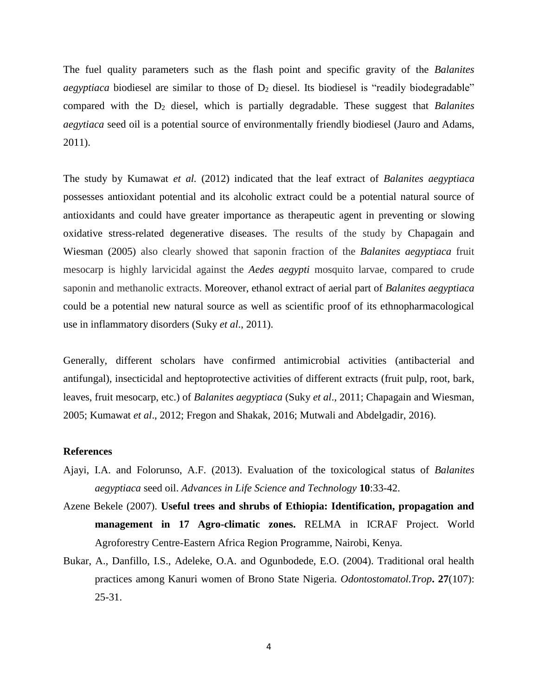The fuel quality parameters such as the flash point and specific gravity of the *Balanites aegyptiaca* biodiesel are similar to those of  $D_2$  diesel. Its biodiesel is "readily biodegradable" compared with the D<sup>2</sup> diesel, which is partially degradable. These suggest that *Balanites aegytiaca* seed oil is a potential source of environmentally friendly biodiesel (Jauro and Adams, 2011).

The study by Kumawat *et al.* (2012) indicated that the leaf extract of *Balanites aegyptiaca*  possesses antioxidant potential and its alcoholic extract could be a potential natural source of antioxidants and could have greater importance as therapeutic agent in preventing or slowing oxidative stress-related degenerative diseases. The results of the study by Chapagain and Wiesman (2005) also clearly showed that saponin fraction of the *Balanites aegyptiaca* fruit mesocarp is highly larvicidal against the *Aedes aegypti* mosquito larvae, compared to crude saponin and methanolic extracts. Moreover, ethanol extract of aerial part of *Balanites aegyptiaca*  could be a potential new natural source as well as scientific proof of its ethnopharmacological use in inflammatory disorders (Suky *et al*., 2011).

Generally, different scholars have confirmed antimicrobial activities (antibacterial and antifungal), insecticidal and heptoprotective activities of different extracts (fruit pulp, root, bark, leaves, fruit mesocarp, etc.) of *Balanites aegyptiaca* (Suky *et al*., 2011; Chapagain and Wiesman, 2005; Kumawat *et al*., 2012; Fregon and Shakak, 2016; Mutwali and Abdelgadir, 2016).

## **References**

- Ajayi, I.A. and Folorunso, A.F. (2013). Evaluation of the toxicological status of *Balanites aegyptiaca* seed oil. *Advances in Life Science and Technology* **10**:33-42.
- Azene Bekele (2007). **Useful trees and shrubs of Ethiopia: Identification, propagation and management in 17 Agro-climatic zones.** RELMA in ICRAF Project. World Agroforestry Centre-Eastern Africa Region Programme, Nairobi, Kenya.
- Bukar, A., Danfillo, I.S., Adeleke, O.A. and Ogunbodede, E.O. (2004). Traditional oral health practices among Kanuri women of Brono State Nigeria. *Odontostomatol.Trop***. 27**(107): 25-31.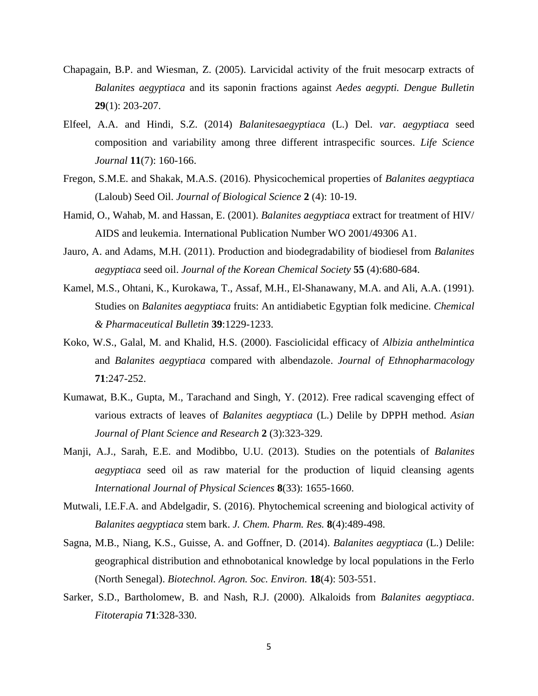- Chapagain, B.P. and Wiesman, Z. (2005). Larvicidal activity of the fruit mesocarp extracts of *Balanites aegyptiaca* and its saponin fractions against *Aedes aegypti. Dengue Bulletin* **29**(1): 203-207.
- Elfeel, A.A. and Hindi, S.Z. (2014) *Balanitesaegyptiaca* (L.) Del. *var. aegyptiaca* seed composition and variability among three different intraspecific sources. *Life Science Journal* **11**(7): 160-166.
- Fregon, S.M.E. and Shakak, M.A.S. (2016). Physicochemical properties of *Balanites aegyptiaca*  (Laloub) Seed Oil. *Journal of Biological Science* **2** (4): 10-19.
- Hamid, O., Wahab, M. and Hassan, E. (2001). *Balanites aegyptiaca* extract for treatment of HIV/ AIDS and leukemia. International Publication Number WO 2001/49306 A1.
- Jauro, A. and Adams, M.H. (2011). Production and biodegradability of biodiesel from *Balanites aegyptiaca* seed oil. *Journal of the Korean Chemical Society* **55** (4):680-684.
- Kamel, M.S., Ohtani, K., Kurokawa, T., Assaf, M.H., El-Shanawany, M.A. and Ali, A.A. (1991). Studies on *Balanites aegyptiaca* fruits: An antidiabetic Egyptian folk medicine. *Chemical & Pharmaceutical Bulletin* **39**:1229-1233.
- Koko, W.S., Galal, M. and Khalid, H.S. (2000). Fasciolicidal efficacy of *Albizia anthelmintica*  and *Balanites aegyptiaca* compared with albendazole. *Journal of Ethnopharmacology* **71**:247-252.
- Kumawat, B.K., Gupta, M., Tarachand and Singh, Y. (2012). Free radical scavenging effect of various extracts of leaves of *Balanites aegyptiaca* (L.) Delile by DPPH method. *Asian Journal of Plant Science and Research* **2** (3):323-329.
- Manji, A.J., Sarah, E.E. and Modibbo, U.U. (2013). Studies on the potentials of *Balanites aegyptiaca* seed oil as raw material for the production of liquid cleansing agents *International Journal of Physical Sciences* **8**(33): 1655-1660.
- Mutwali, I.E.F.A. and Abdelgadir, S. (2016). Phytochemical screening and biological activity of *Balanites aegyptiaca* stem bark. *J. Chem. Pharm. Res.* **8**(4):489-498.
- Sagna, M.B., Niang, K.S., Guisse, A. and Goffner, D. (2014). *Balanites aegyptiaca* (L.) Delile: geographical distribution and ethnobotanical knowledge by local populations in the Ferlo (North Senegal). *Biotechnol. Agron. Soc. Environ.* **18**(4): 503-551.
- Sarker, S.D., Bartholomew, B. and Nash, R.J. (2000). Alkaloids from *Balanites aegyptiaca*. *Fitoterapia* **71**:328-330.